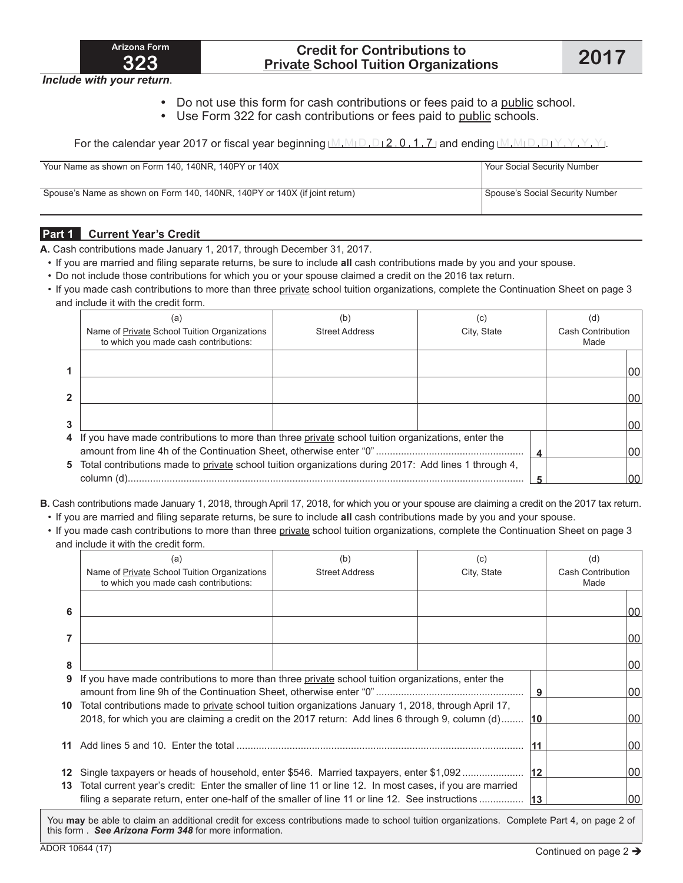

### **Credit for Contributions to Private School Tuition Organizations 2017**

*Include with your return*.

- Do not use this form for cash contributions or fees paid to a public school.
- Use Form 322 for cash contributions or fees paid to public schools.

For the calendar year 2017 or fiscal year beginning  $M_1M_1D_1D_12$  , 0, 1, 7 and ending  $M_1M_1D_1D_1Y$ ,  $Y$ ,  $Y$ ,  $Y$ 

| Your Name as shown on Form 140, 140NR, 140PY or 140X                       | Your Social Security Number     |
|----------------------------------------------------------------------------|---------------------------------|
| Spouse's Name as shown on Form 140, 140NR, 140PY or 140X (if joint return) | Spouse's Social Security Number |

#### **Part 1 Current Year's Credit**

**A.** Cash contributions made January 1, 2017, through December 31, 2017.

- If you are married and filing separate returns, be sure to include **all** cash contributions made by you and your spouse.
- Do not include those contributions for which you or your spouse claimed a credit on the 2016 tax return.
- If you made cash contributions to more than three private school tuition organizations, complete the Continuation Sheet on page 3 and include it with the credit form.

|                | (a)<br>Name of Private School Tuition Organizations<br>to which you made cash contributions:           | b.<br><b>Street Address</b> | C)<br>City, State | (ď<br>Cash Contribution<br>Made |     |
|----------------|--------------------------------------------------------------------------------------------------------|-----------------------------|-------------------|---------------------------------|-----|
| 1              |                                                                                                        |                             |                   |                                 | 100 |
| $\overline{2}$ |                                                                                                        |                             |                   |                                 | 100 |
| 3              |                                                                                                        |                             |                   |                                 | 100 |
|                | 4 If you have made contributions to more than three private school tuition organizations, enter the    |                             |                   |                                 | 00  |
|                | 5 Total contributions made to private school tuition organizations during 2017: Add lines 1 through 4, |                             |                   |                                 | 00  |

- **B.** Cash contributions made January 1, 2018, through April 17, 2018, for which you or your spouse are claiming a credit on the 2017 tax return.
- If you are married and filing separate returns, be sure to include **all** cash contributions made by you and your spouse.
- If you made cash contributions to more than three private school tuition organizations, complete the Continuation Sheet on page 3 and include it with the credit form.

|    | (a)<br>Name of <b>Private</b> School Tuition Organizations<br>to which you made cash contributions:                                                                                                       | (b)<br><b>Street Address</b> | (c)<br>City, State |   | (d)<br>Cash Contribution<br>Made |    |
|----|-----------------------------------------------------------------------------------------------------------------------------------------------------------------------------------------------------------|------------------------------|--------------------|---|----------------------------------|----|
| 6  |                                                                                                                                                                                                           |                              |                    |   |                                  | 00 |
|    |                                                                                                                                                                                                           |                              |                    |   |                                  | 00 |
| 8  |                                                                                                                                                                                                           |                              |                    |   |                                  | 00 |
| 9  | If you have made contributions to more than three private school tuition organizations, enter the                                                                                                         |                              |                    | 9 |                                  | 00 |
| 10 | Total contributions made to private school tuition organizations January 1, 2018, through April 17,<br>2018, for which you are claiming a credit on the 2017 return: Add lines 6 through 9, column (d) 10 |                              |                    |   |                                  | 00 |
|    |                                                                                                                                                                                                           |                              |                    |   |                                  | 00 |
| 12 | Single taxpayers or heads of household, enter \$546. Married taxpayers, enter \$1,092                                                                                                                     |                              |                    |   |                                  | 00 |
|    | 13 Total current year's credit: Enter the smaller of line 11 or line 12. In most cases, if you are married                                                                                                |                              |                    |   |                                  | 00 |

You **may** be able to claim an additional credit for excess contributions made to school tuition organizations. Complete Part 4, on page 2 of this form . *See Arizona Form 348* for more information.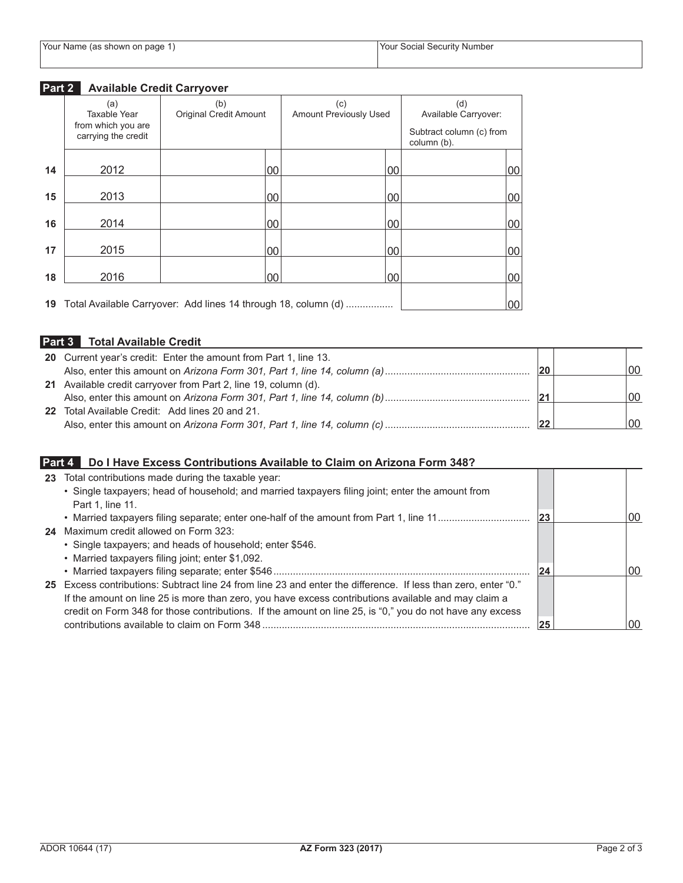# **Part 2 Available Credit Carryover**

|    | (a)<br>Taxable Year                       | (b)<br><b>Original Credit Amount</b>                              | (c)<br><b>Amount Previously Used</b> | (d)<br>Available Carryover:             |    |
|----|-------------------------------------------|-------------------------------------------------------------------|--------------------------------------|-----------------------------------------|----|
|    | from which you are<br>carrying the credit |                                                                   |                                      | Subtract column (c) from<br>column (b). |    |
| 14 | 2012                                      | 00                                                                | 00                                   |                                         | 00 |
| 15 | 2013                                      | 00                                                                | 00                                   |                                         | 00 |
| 16 | 2014                                      | 00                                                                | 00                                   |                                         | 00 |
| 17 | 2015                                      | 00                                                                | 00                                   |                                         | 00 |
| 18 | 2016                                      | 00                                                                | 00                                   |                                         | 00 |
|    |                                           | 19 Total Available Carryover: Add lines 14 through 18, column (d) |                                      |                                         | 00 |

# **Part 3 Total Available Credit**

| 20 Current year's credit: Enter the amount from Part 1, line 13. |              |      |
|------------------------------------------------------------------|--------------|------|
|                                                                  | $ 20\rangle$ | 100  |
| 21 Available credit carryover from Part 2, line 19, column (d).  |              |      |
|                                                                  | 21           | 100  |
| 22 Total Available Credit: Add lines 20 and 21.                  |              |      |
|                                                                  | 22           | l NO |

## **Part 4 Do I Have Excess Contributions Available to Claim on Arizona Form 348?**

| 23 | Total contributions made during the taxable year:                                                              |    |    |
|----|----------------------------------------------------------------------------------------------------------------|----|----|
|    | • Single taxpayers; head of household; and married taxpayers filing joint; enter the amount from               |    |    |
|    | Part 1, line 11.                                                                                               |    |    |
|    |                                                                                                                | 23 | 00 |
|    | <b>24</b> Maximum credit allowed on Form 323:                                                                  |    |    |
|    | • Single taxpayers; and heads of household; enter \$546.                                                       |    |    |
|    | • Married taxpayers filing joint; enter \$1,092.                                                               |    |    |
|    |                                                                                                                | 24 | 00 |
|    | 25 Excess contributions: Subtract line 24 from line 23 and enter the difference. If less than zero, enter "0." |    |    |
|    | If the amount on line 25 is more than zero, you have excess contributions available and may claim a            |    |    |
|    | credit on Form 348 for those contributions. If the amount on line 25, is "0," you do not have any excess       |    |    |
|    |                                                                                                                | 25 | 00 |